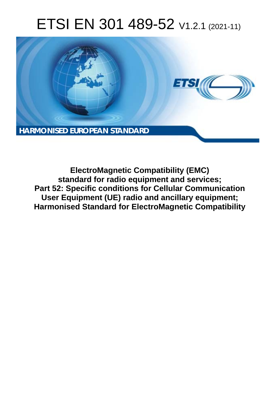# ETSI EN 301 489-52 V1.2.1 (2021-11)



**ElectroMagnetic Compatibility (EMC) standard for radio equipment and services; Part 52: Specific conditions for Cellular Communication User Equipment (UE) radio and ancillary equipment; Harmonised Standard for ElectroMagnetic Compatibility**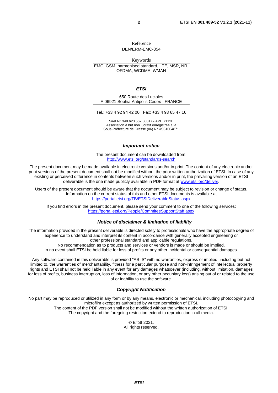Reference DEN/ERM-EMC-354

Keywords

EMC, GSM, harmonised standard, LTE, MSR, NR, OFDMA, WCDMA, WMAN

*ETSI* 

650 Route des Lucioles F-06921 Sophia Antipolis Cedex - FRANCE

Tel.: +33 4 92 94 42 00 Fax: +33 4 93 65 47 16

Siret N° 348 623 562 00017 - APE 7112B Association à but non lucratif enregistrée à la Sous-Préfecture de Grasse (06) N° w061004871

#### *Important notice*

The present document can be downloaded from: <http://www.etsi.org/standards-search>

The present document may be made available in electronic versions and/or in print. The content of any electronic and/or print versions of the present document shall not be modified without the prior written authorization of ETSI. In case of any existing or perceived difference in contents between such versions and/or in print, the prevailing version of an ETSI deliverable is the one made publicly available in PDF format at [www.etsi.org/deliver](http://www.etsi.org/deliver).

Users of the present document should be aware that the document may be subject to revision or change of status. Information on the current status of this and other ETSI documents is available at <https://portal.etsi.org/TB/ETSIDeliverableStatus.aspx>

If you find errors in the present document, please send your comment to one of the following services: <https://portal.etsi.org/People/CommiteeSupportStaff.aspx>

#### *Notice of disclaimer & limitation of liability*

The information provided in the present deliverable is directed solely to professionals who have the appropriate degree of experience to understand and interpret its content in accordance with generally accepted engineering or other professional standard and applicable regulations.

No recommendation as to products and services or vendors is made or should be implied.

In no event shall ETSI be held liable for loss of profits or any other incidental or consequential damages.

Any software contained in this deliverable is provided "AS IS" with no warranties, express or implied, including but not limited to, the warranties of merchantability, fitness for a particular purpose and non-infringement of intellectual property rights and ETSI shall not be held liable in any event for any damages whatsoever (including, without limitation, damages for loss of profits, business interruption, loss of information, or any other pecuniary loss) arising out of or related to the use of or inability to use the software.

#### *Copyright Notification*

No part may be reproduced or utilized in any form or by any means, electronic or mechanical, including photocopying and microfilm except as authorized by written permission of ETSI. The content of the PDF version shall not be modified without the written authorization of ETSI.

The copyright and the foregoing restriction extend to reproduction in all media.

© ETSI 2021. All rights reserved.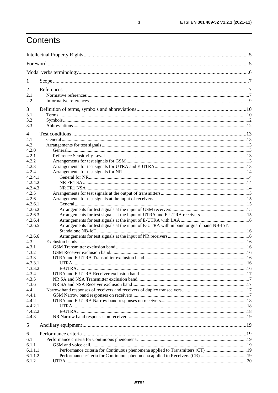# Contents

| 1                     |                                                                                         |  |
|-----------------------|-----------------------------------------------------------------------------------------|--|
| $\overline{2}$<br>2.1 |                                                                                         |  |
| 2.2                   |                                                                                         |  |
| 3                     |                                                                                         |  |
| 3.1                   |                                                                                         |  |
| 3.2                   |                                                                                         |  |
| 3.3                   |                                                                                         |  |
| 4                     |                                                                                         |  |
| 4.1                   |                                                                                         |  |
| 4.2                   |                                                                                         |  |
| 4.2.0                 |                                                                                         |  |
| 4.2.1                 |                                                                                         |  |
| 4.2.2                 |                                                                                         |  |
| 4.2.3                 |                                                                                         |  |
| 4.2.4                 |                                                                                         |  |
| 4.2.4.1               |                                                                                         |  |
| 4.2.4.2               |                                                                                         |  |
| 4.2.4.3               |                                                                                         |  |
| 4.2.5                 |                                                                                         |  |
| 4.2.6                 |                                                                                         |  |
| 4.2.6.1               |                                                                                         |  |
| 4.2.6.2               |                                                                                         |  |
| 4.2.6.3               |                                                                                         |  |
| 4.2.6.4               |                                                                                         |  |
| 4.2.6.5               | Arrangements for test signals at the input of E-UTRA with in band or guard band NB-IoT, |  |
|                       |                                                                                         |  |
| 4.2.6.6               |                                                                                         |  |
| 4.3                   |                                                                                         |  |
| 4.3.1                 |                                                                                         |  |
| 4.3.2                 |                                                                                         |  |
| 4.3.3                 |                                                                                         |  |
| 4.3.3.1               |                                                                                         |  |
| 4.3.3.2               |                                                                                         |  |
| 4.3.4                 |                                                                                         |  |
| 4.3.5                 |                                                                                         |  |
| 4.3.6                 |                                                                                         |  |
| 4.4                   |                                                                                         |  |
| 4.4.1                 |                                                                                         |  |
| 4.4.2                 |                                                                                         |  |
| 4.4.2.1               |                                                                                         |  |
| 4.4.2.2               |                                                                                         |  |
| 4.4.3                 |                                                                                         |  |
| 5                     |                                                                                         |  |
| 6                     |                                                                                         |  |
| 6.1                   |                                                                                         |  |
| 6.1.1                 |                                                                                         |  |
| 6.1.1.1               | Performance criteria for Continuous phenomena applied to Transmitters (CT) 19           |  |
| 6.1.1.2               |                                                                                         |  |
| 6.1.2                 |                                                                                         |  |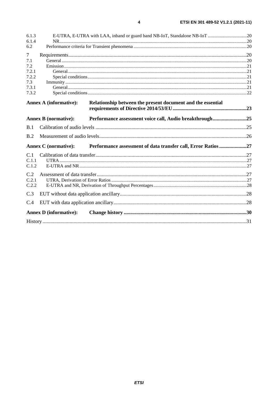| 6.1.3  |                               |                                                               |  |  |  |  |
|--------|-------------------------------|---------------------------------------------------------------|--|--|--|--|
| 6.1.4  |                               |                                                               |  |  |  |  |
| 6.2    |                               |                                                               |  |  |  |  |
| $\tau$ |                               |                                                               |  |  |  |  |
| 7.1    |                               |                                                               |  |  |  |  |
| 7.2    |                               |                                                               |  |  |  |  |
| 7.2.1  |                               |                                                               |  |  |  |  |
| 7.2.2  |                               |                                                               |  |  |  |  |
| 7.3    |                               |                                                               |  |  |  |  |
| 7.3.1  |                               |                                                               |  |  |  |  |
| 7.3.2  |                               |                                                               |  |  |  |  |
|        | <b>Annex A (informative):</b> | Relationship between the present document and the essential   |  |  |  |  |
|        |                               |                                                               |  |  |  |  |
|        | <b>Annex B</b> (normative):   | Performance assessment voice call, Audio breakthrough25       |  |  |  |  |
| B.1    |                               |                                                               |  |  |  |  |
|        |                               |                                                               |  |  |  |  |
| B.2    |                               |                                                               |  |  |  |  |
|        | <b>Annex C</b> (normative):   | Performance assessment of data transfer call, Error Ratios 27 |  |  |  |  |
| C.1    |                               |                                                               |  |  |  |  |
| C.1.1  |                               |                                                               |  |  |  |  |
| C.1.2  |                               |                                                               |  |  |  |  |
| C.2    |                               |                                                               |  |  |  |  |
| C.2.1  |                               |                                                               |  |  |  |  |
| C.2.2  |                               |                                                               |  |  |  |  |
| C.3    |                               |                                                               |  |  |  |  |
| C.4    |                               |                                                               |  |  |  |  |
|        | <b>Annex D</b> (informative): |                                                               |  |  |  |  |
|        |                               |                                                               |  |  |  |  |
|        |                               |                                                               |  |  |  |  |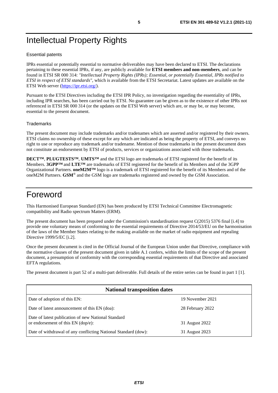# <span id="page-4-0"></span>Intellectual Property Rights

#### Essential patents

IPRs essential or potentially essential to normative deliverables may have been declared to ETSI. The declarations pertaining to these essential IPRs, if any, are publicly available for **ETSI members and non-members**, and can be found in ETSI SR 000 314: *"Intellectual Property Rights (IPRs); Essential, or potentially Essential, IPRs notified to ETSI in respect of ETSI standards"*, which is available from the ETSI Secretariat. Latest updates are available on the ETSI Web server ([https://ipr.etsi.org/\)](https://ipr.etsi.org/).

Pursuant to the ETSI Directives including the ETSI IPR Policy, no investigation regarding the essentiality of IPRs, including IPR searches, has been carried out by ETSI. No guarantee can be given as to the existence of other IPRs not referenced in ETSI SR 000 314 (or the updates on the ETSI Web server) which are, or may be, or may become, essential to the present document.

#### **Trademarks**

The present document may include trademarks and/or tradenames which are asserted and/or registered by their owners. ETSI claims no ownership of these except for any which are indicated as being the property of ETSI, and conveys no right to use or reproduce any trademark and/or tradename. Mention of those trademarks in the present document does not constitute an endorsement by ETSI of products, services or organizations associated with those trademarks.

**DECT™**, **PLUGTESTS™**, **UMTS™** and the ETSI logo are trademarks of ETSI registered for the benefit of its Members. **3GPP™** and **LTE™** are trademarks of ETSI registered for the benefit of its Members and of the 3GPP Organizational Partners. **oneM2M™** logo is a trademark of ETSI registered for the benefit of its Members and of the oneM2M Partners. **GSM**® and the GSM logo are trademarks registered and owned by the GSM Association.

# Foreword

This Harmonised European Standard (EN) has been produced by ETSI Technical Committee Electromagnetic compatibility and Radio spectrum Matters (ERM).

The present document has been prepared under the Commission's standardisation request C(2015) 5376 final [\[i.4](#page-8-0)] to provide one voluntary means of conforming to the essential requirements of Directive 2014/53/EU on the harmonisation of the laws of the Member States relating to the making available on the market of radio equipment and repealing Directive 1999/5/EC [\[i.2\]](#page-8-0).

Once the present document is cited in the Official Journal of the European Union under that Directive, compliance with the normative clauses of the present document given in table A.1 confers, within the limits of the scope of the present document, a presumption of conformity with the corresponding essential requirements of that Directive and associated EFTA regulations.

The present document is part 52 of a multi-part deliverable. Full details of the entire series can be found in part 1 [[1\]](#page-6-0).

| <b>National transposition dates</b>                                                       |                  |  |  |  |  |
|-------------------------------------------------------------------------------------------|------------------|--|--|--|--|
| Date of adoption of this EN:                                                              | 19 November 2021 |  |  |  |  |
| Date of latest announcement of this EN (doa):                                             | 28 February 2022 |  |  |  |  |
| Date of latest publication of new National Standard<br>or endorsement of this EN (dop/e): | 31 August 2022   |  |  |  |  |
| Date of withdrawal of any conflicting National Standard (dow):                            | 31 August 2023   |  |  |  |  |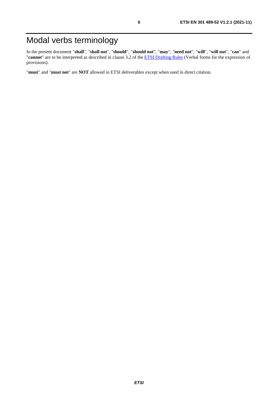# <span id="page-5-0"></span>Modal verbs terminology

In the present document "**shall**", "**shall not**", "**should**", "**should not**", "**may**", "**need not**", "**will**", "**will not**", "**can**" and "**cannot**" are to be interpreted as described in clause 3.2 of the [ETSI Drafting Rules](https://portal.etsi.org/Services/editHelp!/Howtostart/ETSIDraftingRules.aspx) (Verbal forms for the expression of provisions).

"**must**" and "**must not**" are **NOT** allowed in ETSI deliverables except when used in direct citation.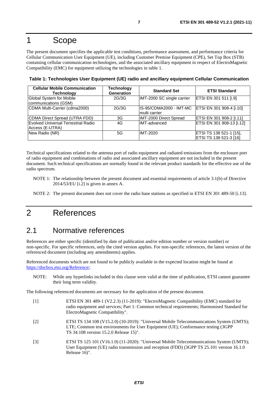# <span id="page-6-0"></span>1 Scope

The present document specifies the applicable test conditions, performance assessment, and performance criteria for Cellular Communication User Equipment (UE), including Customer Premise Equipment (CPE), Set Top Box (STB) containing cellular communication technologies, and the associated ancillary equipment in respect of ElectroMagnetic Compatibility (EMC) for equipment utilizing the technologies in table 1.

**Table 1: Technologies User Equipment (UE) radio and ancillary equipment Cellular Communication** 

| <b>Cellular Mobile Communication</b><br>Technology            | <b>Technology</b><br><b>Generation</b> | <b>Standard Set</b>                       | <b>ETSI Standard</b>                              |
|---------------------------------------------------------------|----------------------------------------|-------------------------------------------|---------------------------------------------------|
| Global System for Mobile<br>communications (GSM)              | 2G/3G                                  | IMT-2000 SC single carrier                | ETSI EN 301 511 [i.9]                             |
| CDMA Multi-Carrier (cdma2000)                                 | 2G/3G                                  | IIS-95/CDMA2000 - IMT-MC<br>multi carrier | ETSI EN 301 908-4 [i.10]                          |
| CDMA Direct Spread (UTRA FDD)                                 | 3G                                     | IMT-2000 Direct Spread                    | ETSI EN 301 908-2 [i.11]                          |
| <b>Evolved Universal Terrestrial Radio</b><br>Access (E-UTRA) | 4G                                     | <b>IMT-advanced</b>                       | ETSI EN 301 908-13 [i.12]                         |
| New Radio (NR)                                                | 5G                                     | <b>IMT-2020</b>                           | ETSI TS 138 521-1 [15],<br>ETSI TS 138 521-3 [16] |

Technical specifications related to the antenna port of radio equipment and radiated emissions from the enclosure port of radio equipment and combinations of radio and associated ancillary equipment are not included in the present document. Such technical specifications are normally found in the relevant product standards for the effective use of the radio spectrum.

- NOTE 1: The relationship between the present document and essential requirements of article 3.1(b) of Directive 2014/53/EU [\[i.2](#page-8-0)] is given in annex A.
- NOTE 2: The present document does not cover the radio base stations as specified in ETSI EN 301 489-50 [\[i.13](#page-8-0)].

# 2 References

### 2.1 Normative references

References are either specific (identified by date of publication and/or edition number or version number) or non-specific. For specific references, only the cited version applies. For non-specific references, the latest version of the referenced document (including any amendments) applies.

Referenced documents which are not found to be publicly available in the expected location might be found at <https://docbox.etsi.org/Reference/>.

NOTE: While any hyperlinks included in this clause were valid at the time of publication, ETSI cannot guarantee their long term validity.

The following referenced documents are necessary for the application of the present document.

- [1] ETSI EN 301 489-1 (V2.2.3) (11-2019): "ElectroMagnetic Compatibility (EMC) standard for radio equipment and services; Part 1: Common technical requirements; Harmonised Standard for ElectroMagnetic Compatibility".
- [2] ETSI TS 134 108 (V15.2.0) (10-2019): "Universal Mobile Telecommunications System (UMTS); LTE; Common test environments for User Equipment (UE); Conformance testing (3GPP TS 34.108 version 15.2.0 Release 15)".
- [3] ETSI TS 125 101 (V16.1.0) (11-2020): "Universal Mobile Telecommunications System (UMTS); User Equipment (UE) radio transmission and reception (FDD) (3GPP TS 25.101 version 16.1.0 Release 16)".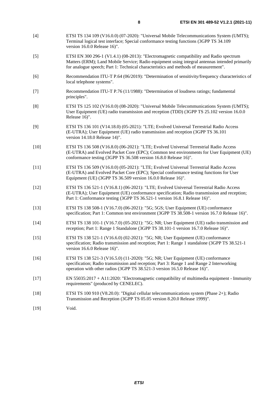- <span id="page-7-0"></span>[4] ETSI TS 134 109 (V16.0.0) (07-2020): "Universal Mobile Telecommunications System (UMTS); Terminal logical test interface; Special conformance testing functions (3GPP TS 34.109 version 16.0.0 Release 16)".
- [5] ETSI EN 300 296-1 (V1.4.1) (08-2013): "Electromagnetic compatibility and Radio spectrum Matters (ERM); Land Mobile Service: Radio equipment using integral antennas intended primarily for analogue speech; Part 1: Technical characteristics and methods of measurement".
- [6] Recommendation ITU-T P.64 (06/2019): "Determination of sensitivity/frequency characteristics of local telephone systems".
- [7] Recommendation ITU-T P.76 (11/1988): "Determination of loudness ratings; fundamental principles".
- [8] ETSI TS 125 102 (V16.0.0) (08-2020): "Universal Mobile Telecommunications System (UMTS); User Equipment (UE) radio transmission and reception (TDD) (3GPP TS 25.102 version 16.0.0 Release 16)".
- [9] ETSI TS 136 101 (V14.18.0) (05-2021): "LTE; Evolved Universal Terrestrial Radio Access (E-UTRA); User Equipment (UE) radio transmission and reception (3GPP TS 36.101 version 14.18.0 Release 14)".
- [10] ETSI TS 136 508 (V16.8.0) (06-2021): "LTE; Evolved Universal Terrestrial Radio Access (E-UTRA) and Evolved Packet Core (EPC); Common test environments for User Equipment (UE) conformance testing (3GPP TS 36.508 version 16.8.0 Release 16)".
- [11] ETSI TS 136 509 (V16.0.0) (05-2021): "LTE; Evolved Universal Terrestrial Radio Access (E-UTRA) and Evolved Packet Core (EPC); Special conformance testing functions for User Equipment (UE) (3GPP TS 36.509 version 16.0.0 Release 16)".
- [12] ETSI TS 136 521-1 (V16.8.1) (06-2021): "LTE; Evolved Universal Terrestrial Radio Access (E-UTRA); User Equipment (UE) conformance specification; Radio transmission and reception; Part 1: Conformance testing (3GPP TS 36.521-1 version 16.8.1 Release 16)".
- [13] ETSI TS 138 508-1 (V16.7.0) (06-2021): "5G; 5GS; User Equipment (UE) conformance specification; Part 1: Common test environment (3GPP TS 38.508-1 version 16.7.0 Release 16)".
- [14] ETSI TS 138 101-1 (V16.7.0) (05-2021): "5G; NR; User Equipment (UE) radio transmission and reception; Part 1: Range 1 Standalone (3GPP TS 38.101-1 version 16.7.0 Release 16)".
- [15] ETSI TS 138 521-1 (V16.6.0) (02-2021): "5G; NR; User Equipment (UE) conformance specification; Radio transmission and reception; Part 1: Range 1 standalone (3GPP TS 38.521-1 version 16.6.0 Release 16)".
- [16] ETSI TS 138 521-3 (V16.5.0) (11-2020): "5G; NR; User Equipment (UE) conformance specification; Radio transmission and reception; Part 3: Range 1 and Range 2 Interworking operation with other radios (3GPP TS 38.521-3 version 16.5.0 Release 16)".
- [17] EN 55035:2017 + A11:2020: "Electromagnetic compatibility of multimedia equipment Immunity requirements" (produced by CENELEC).
- [18] ETSI TS 100 910 (V8.20.0): "Digital cellular telecommunications system (Phase 2+); Radio Transmission and Reception (3GPP TS 05.05 version 8.20.0 Release 1999)".
- [19] Void.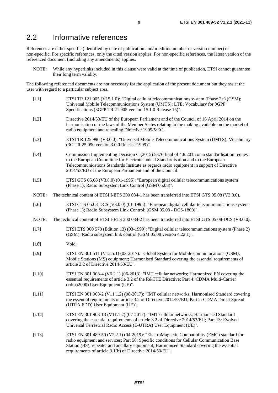### <span id="page-8-0"></span>2.2 Informative references

References are either specific (identified by date of publication and/or edition number or version number) or non-specific. For specific references, only the cited version applies. For non-specific references, the latest version of the referenced document (including any amendments) applies.

NOTE: While any hyperlinks included in this clause were valid at the time of publication, ETSI cannot guarantee their long term validity.

The following referenced documents are not necessary for the application of the present document but they assist the user with regard to a particular subject area.

- [i.1] ETSI TR 121 905 (V15.1.0): "Digital cellular telecommunications system (Phase 2+) (GSM); Universal Mobile Telecommunications System (UMTS); LTE; Vocabulary for 3GPP Specifications (3GPP TR 21.905 version 15.1.0 Release 15)".
- [i.2] Directive 2014/53/EU of the European Parliament and of the Council of 16 April 2014 on the harmonisation of the laws of the Member States relating to the making available on the market of radio equipment and repealing Directive 1999/5/EC.
- [i.3] ETSI TR 125 990 (V3.0.0): "Universal Mobile Telecommunications System (UMTS); Vocabulary (3G TR 25.990 version 3.0.0 Release 1999)".
- [i.4] Commission Implementing Decision C (2015) 5376 final of 4.8.2015 on a standardisation request to the European Committee for Electrotechnical Standardisation and to the European Telecommunications Standards Institute as regards radio equipment in support of Directive 2014/53/EU of the European Parliament and of the Council.
- [i.5] ETSI GTS 05.08 (V3.8.0) (01-1995): "European digital cellular telecommunications system (Phase 1); Radio Subsystem Link Control (GSM 05.08)".
- NOTE: The technical content of ETSI I-ETS 300 034-1 has been transferred into ETSI GTS 05.08 (V3.8.0).
- [i.6] ETSI GTS 05.08-DCS (V3.0.0) (01-1995): "European digital cellular telecommunications system (Phase 1); Radio Subsystem Link Control; (GSM 05.08 - DCS-1800)".
- NOTE: The technical content of ETSI I-ETS 300 034-2 has been transferred into ETSI GTS 05.08-DCS (V3.0.0).
- [i.7] ETSI ETS 300 578 (Edition 13) (03-1999): "Digital cellular telecommunications system (Phase 2) (GSM); Radio subsystem link control (GSM 05.08 version 4.22.1)".
- [i.8] Void.
- [i.9] ETSI EN 301 511 (V12.5.1) (03-2017): "Global System for Mobile communications (GSM); Mobile Stations (MS) equipment; Harmonised Standard covering the essential requirements of article 3.2 of Directive 2014/53/EU".
- [i.10] ETSI EN 301 908-4 (V6.2.1) (06-2013): "IMT cellular networks; Harmonized EN covering the essential requirements of article 3.2 of the R&TTE Directive; Part 4: CDMA Multi-Carrier (cdma2000) User Equipment (UE)".
- [i.11] ETSI EN 301 908-2 (V11.1.2) (08-2017): "IMT cellular networks; Harmonised Standard covering the essential requirements of article 3.2 of Directive 2014/53/EU; Part 2: CDMA Direct Spread (UTRA FDD) User Equipment (UE)".
- [i.12] ETSI EN 301 908-13 (V11.1.2) (07-2017): "IMT cellular networks; Harmonised Standard covering the essential requirements of article 3.2 of Directive 2014/53/EU; Part 13: Evolved Universal Terrestrial Radio Access (E-UTRA) User Equipment (UE)".
- [i.13] ETSI EN 301 489-50 (V2.2.1) (04-2019): "ElectroMagnetic Compatibility (EMC) standard for radio equipment and services; Part 50: Specific conditions for Cellular Communication Base Station (BS), repeater and ancillary equipment; Harmonised Standard covering the essential requirements of article 3.1(b) of Directive 2014/53/EU".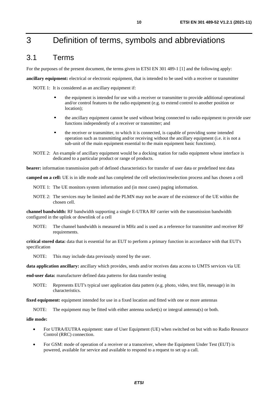# <span id="page-9-0"></span>3 Definition of terms, symbols and abbreviations

### 3.1 Terms

For the purposes of the present document, the terms given in ETSI EN 301 489-1 [\[1](#page-6-0)] and the following apply:

**ancillary equipment:** electrical or electronic equipment, that is intended to be used with a receiver or transmitter

NOTE 1: It is considered as an ancillary equipment if:

- the equipment is intended for use with a receiver or transmitter to provide additional operational and/or control features to the radio equipment (e.g. to extend control to another position or location);
- the ancillary equipment cannot be used without being connected to radio equipment to provide user functions independently of a receiver or transmitter; and
- the receiver or transmitter, to which it is connected, is capable of providing some intended operation such as transmitting and/or receiving without the ancillary equipment (i.e. it is not a sub-unit of the main equipment essential to the main equipment basic functions).
- NOTE 2: An example of ancillary equipment would be a docking station for radio equipment whose interface is dedicated to a particular product or range of products.

**bearer:** information transmission path of defined characteristics for transfer of user data or predefined test data

**camped on a cell:** UE is in idle mode and has completed the cell selection/reselection process and has chosen a cell

- NOTE 1: The UE monitors system information and (in most cases) paging information.
- NOTE 2: The services may be limited and the PLMN may not be aware of the existence of the UE within the chosen cell.

**channel bandwidth:** RF bandwidth supporting a single E-UTRA RF carrier with the transmission bandwidth configured in the uplink or downlink of a cell

NOTE: The channel bandwidth is measured in MHz and is used as a reference for transmitter and receiver RF requirements.

**critical stored data:** data that is essential for an EUT to perform a primary function in accordance with that EUT's specification

NOTE: This may include data previously stored by the user.

**data application ancillary:** ancillary which provides, sends and/or receives data access to UMTS services via UE

**end-user data:** manufacturer defined data patterns for data transfer testing

NOTE: Represents EUT's typical user application data pattern (e.g. photo, video, text file, message) in its characteristics.

**fixed equipment:** equipment intended for use in a fixed location and fitted with one or more antennas

NOTE: The equipment may be fitted with either antenna socket(s) or integral antenna(s) or both.

#### **idle mode:**

- For UTRA/EUTRA equipment: state of User Equipment (UE) when switched on but with no Radio Resource Control (RRC) connection.
- For GSM: mode of operation of a receiver or a transceiver, where the Equipment Under Test (EUT) is powered, available for service and available to respond to a request to set up a call.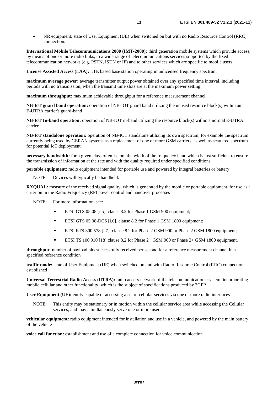• NR equipment: state of User Equipment (UE) when switched on but with no Radio Resource Control (RRC) connection.

**International Mobile Telecommunications 2000 (IMT-2000):** third generation mobile systems which provide access, by means of one or more radio links, to a wide range of telecommunications services supported by the fixed telecommunication networks (e.g. PSTN, ISDN or IP) and to other services which are specific to mobile users

**License Assisted Access (LAA):** LTE based base station operating in unlicensed frequency spectrum

**maximum average power:** average transmitter output power obtained over any specified time interval, including periods with no transmission, when the transmit time slots are at the maximum power setting

**maximum throughput:** maximum achievable throughput for a reference measurement channel

**NB-IoT guard band operation:** operation of NB-IOT guard band utilizing the unused resource block(s) within an E-UTRA carrier's guard-band

**NB-IoT In-band operation:** operation of NB-IOT in-band utilizing the resource block(s) within a normal E-UTRA carrier

**NB-IoT standalone operation:** operation of NB-IOT standalone utilizing its own spectrum, for example the spectrum currently being used by GERAN systems as a replacement of one or more GSM carriers, as well as scattered spectrum for potential IoT deployment

**necessary bandwidth:** for a given class of emission, the width of the frequency band which is just sufficient to ensure the transmission of information at the rate and with the quality required under specified conditions

**portable equipment:** radio equipment intended for portable use and powered by integral batteries or battery

NOTE: Devices will typically be handheld.

**RXQUAL:** measure of the received signal quality, which is generated by the mobile or portable equipment, for use as a criterion in the Radio Frequency (RF) power control and handover processes

NOTE: For more information, see:

- ETSI GTS 05.08 [\[i.5\]](#page-8-0), clause 8.2 for Phase 1 GSM 900 equipment;<br>ETSI GTS 05.08 DCS [i.6], clause 8.2 for Phase 1 GSM 1800 equip
- ETSI GTS 05.08-DCS [[i.6](#page-8-0)], clause 8.2 for Phase 1 GSM 1800 equipment;<br>ETSI ETS 300.578 [i.7], clause 8.2 for Phase 2 GSM 000 or Phase 2 GSM
- ETSI ETS 300 578 [\[i.7](#page-8-0)], clause 8.2 for Phase 2 GSM 900 or Phase 2 GSM 1800 equipment;
- ETSI TS 100 910 [[18\]](#page-7-0) clause 8.2 for Phase 2+ GSM 900 or Phase 2+ GSM 1800 equipment.

**throughput:** number of payload bits successfully received per second for a reference measurement channel in a specified reference condition

**traffic mode:** state of User Equipment (UE) when switched on and with Radio Resource Control (RRC) connection established

**Universal Terrestrial Radio Access (UTRA):** radio access network of the telecommunications system, incorporating mobile cellular and other functionality, which is the subject of specifications produced by 3GPP

**User Equipment (UE):** entity capable of accessing a set of cellular services via one or more radio interfaces

NOTE: This entity may be stationary or in motion within the cellular service area while accessing the Cellular services, and may simultaneously serve one or more users.

**vehicular equipment:** radio equipment intended for installation and use in a vehicle, and powered by the main battery of the vehicle

**voice call function:** establishment and use of a complete connection for voice communication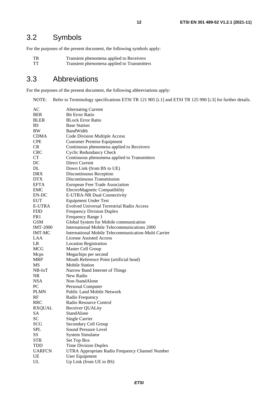# <span id="page-11-0"></span>3.2 Symbols

For the purposes of the present document, the following symbols apply:

- TR Transient phenomena applied to Receivers<br>TT Transient phenomena applied to Transmitte
	- Transient phenomena applied to Transmitters

# 3.3 Abbreviations

For the purposes of the present document, the following abbreviations apply:

NOTE: Refer to Terminology specifications ETSI TR 121 905 [\[i.1](#page-8-0)] and ETSI TR 125 990 [\[i.3](#page-8-0)] for further details.

| AC              | <b>Alternating Current</b>                           |
|-----------------|------------------------------------------------------|
| <b>BER</b>      | <b>Bit Error Ratio</b>                               |
| <b>BLER</b>     | <b>BLock Error Ratio</b>                             |
| BS              | <b>Base Station</b>                                  |
| BW              | <b>BandWidth</b>                                     |
| <b>CDMA</b>     | Code Division Multiple Access                        |
| <b>CPE</b>      | <b>Customer Premise Equipment</b>                    |
| <b>CR</b>       | Continuous phenomena applied to Receivers            |
| <b>CRC</b>      | <b>Cyclic Redundancy Check</b>                       |
| <b>CT</b>       | Continuous phenomena applied to Transmitters         |
| DC              | Direct Current                                       |
| DL              | Down Link (from BS to UE)                            |
| DRX             | Discontinuous Reception                              |
| <b>DTX</b>      | Discontinuous Transmission                           |
| EFTA            | European Free Trade Association                      |
| EMC             | ElectroMagnetic Compatibility                        |
| EN-DC           | E-UTRA-NR Dual Connectivity                          |
| <b>EUT</b>      | <b>Equipment Under Test</b>                          |
| E-UTRA          | <b>Evolved Universal Terrestrial Radio Access</b>    |
| <b>FDD</b>      | <b>Frequency Division Duplex</b>                     |
| FR1             | Frequency Range 1                                    |
| <b>GSM</b>      | Global System for Mobile communication               |
| <b>IMT-2000</b> | International Mobile Telecommunications 2000         |
| <b>IMT-MC</b>   | International Mobile Telecommunication-Multi Carrier |
| <b>LAA</b>      | <b>License Assisted Access</b>                       |
| LR              | <b>Location Registration</b>                         |
| MCG             | Master Cell Group                                    |
| Mcps            | Megachips per second                                 |
| <b>MRP</b>      | Mouth Reference Point (artificial head)              |
| МS              | <b>Mobile Station</b>                                |
| NB-IoT          | Narrow Band Internet of Things                       |
| NR.             | New Radio                                            |
| <b>NSA</b>      | Non-StandAlone                                       |
| PC              | Personal Computer                                    |
| <b>PLMN</b>     | <b>Public Land Mobile Network</b>                    |
| RF              | Radio Frequency                                      |
| <b>RRC</b>      | Radio Resource Control                               |
| <b>RXQUAL</b>   | Receiver QUALity                                     |
| SА              | StandAlone                                           |
| SC              | Single Carrier                                       |
| SCG             | Secondary Cell Group                                 |
| <b>SPL</b>      | Sound Pressure Level                                 |
| SS              | <b>System Simulator</b>                              |
| <b>STB</b>      | Set Top Box                                          |
| <b>TDD</b>      | <b>Time Division Duplex</b>                          |
| <b>UARFCN</b>   | UTRA Appropriate Radio Frequency Channel Number      |
| UE              | User Equipment                                       |
| UL              | Up Link (from UE to BS)                              |
|                 |                                                      |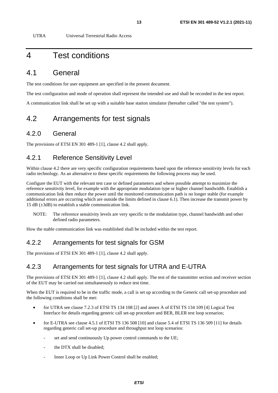<span id="page-12-0"></span>UTRA Universal Terrestrial Radio Access

# 4 Test conditions

### 4.1 General

The test conditions for user equipment are specified in the present document.

The test configuration and mode of operation shall represent the intended use and shall be recorded in the test report.

A communication link shall be set up with a suitable base station simulator (hereafter called "the test system").

### 4.2 Arrangements for test signals

### 4.2.0 General

The provisions of ETSI EN 301 489-1 [[1](#page-6-0)], clause 4.2 shall apply.

### 4.2.1 Reference Sensitivity Level

Within clause 4.2 there are very specific configuration requirements based upon the reference sensitivity levels for each radio technology. As an alternative to these specific requirements the following process may be used.

Configure the EUT with the relevant test case or defined parameters and where possible attempt to maximize the reference sensitivity level, for example with the appropriate modulation type or higher channel bandwidth. Establish a communication link then reduce the power until the monitored communication path is no longer stable (for example additional errors are occurring which are outside the limits defined in clause 6.1). Then increase the transmit power by 15 dB  $(\pm 3$ dB) to establish a stable communication link.

NOTE: The reference sensitivity levels are very specific to the modulation type, channel bandwidth and other defined radio parameters.

How the stable communication link was established shall be included within the test report.

### 4.2.2 Arrangements for test signals for GSM

The provisions of ETSI EN 301 489-1 [[1](#page-6-0)], clause 4.2 shall apply.

### 4.2.3 Arrangements for test signals for UTRA and E-UTRA

The provisions of ETSI EN 301 489-1 [[1](#page-6-0)], clause 4.2 shall apply. The test of the transmitter section and receiver section of the EUT may be carried out simultaneously to reduce test time.

When the EUT is required to be in the traffic mode, a call is set up according to the Generic call set-up procedure and the following conditions shall be met:

- for UTRA see clause 7.2.3 of ETSI TS 134 108 [\[2\]](#page-6-0) and annex A of ETSI TS 134 109 [\[4](#page-7-0)] Logical Test Interface for details regarding generic call set-up procedure and BER, BLER test loop scenarios;
- for E-UTRA see clause 4.5.1 of ETSI TS 136 508 [\[10](#page-7-0)] and clause 5.4 of ETSI TS 136 509 [\[11](#page-7-0)] for details regarding generic call set-up procedure and throughput test loop scenarios:
	- set and send continuously Up power control commands to the UE;
	- the DTX shall be disabled:
	- Inner Loop or Up Link Power Control shall be enabled;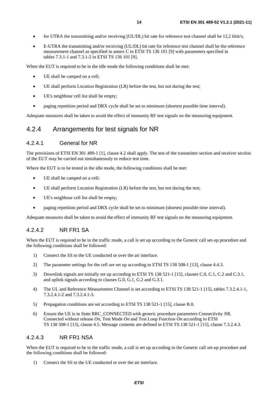- <span id="page-13-0"></span>• for UTRA the transmitting and/or receiving (UL/DL) bit rate for reference test channel shall be 12,2 kbit/s;
- E-UTRA the transmitting and/or receiving (UL/DL) bit rate for reference test channel shall be the reference measurement channel as specified in annex C in ETSI TS 136 101 [\[9](#page-7-0)] with parameters specified in tables 7.3.1-1 and 7.3.1-2 in ETSI TS 136 101 [\[9](#page-7-0)].

When the EUT is required to be in the idle mode the following conditions shall be met:

- UE shall be camped on a cell;
- UE shall perform Location Registration (LR) before the test, but not during the test;
- UE's neighbour cell list shall be empty;
- paging repetition period and DRX cycle shall be set to minimum (shortest possible time interval).

Adequate measures shall be taken to avoid the effect of immunity RF test signals on the measuring equipment.

### 4.2.4 Arrangements for test signals for NR

#### 4.2.4.1 General for NR

The provisions of ETSI EN 301 489-1 [[1](#page-6-0)], clause 4.2 shall apply. The test of the transmitter section and receiver section of the EUT may be carried out simultaneously to reduce test time.

Where the EUT is to be tested in the idle mode, the following conditions shall be met:

- UE shall be camped on a cell;
- UE shall perform Location Registration (LR) before the test, but not during the test;
- UE's neighbour cell list shall be empty;
- paging repetition period and DRX cycle shall be set to minimum (shortest possible time interval).

Adequate measures shall be taken to avoid the effect of immunity RF test signals on the measuring equipment.

#### 4.2.4.2 NR FR1 SA

When the EUT is required to be in the traffic mode, a call is set up according to the Generic call set-up procedure and the following conditions shall be followed:

- 1) Connect the SS to the UE conducted or over the air interface.
- 2) The parameter settings for the cell are set up according to ETSI TS 138 508-1 [\[13](#page-7-0)], clause 4.4.3.
- 3) Downlink signals are initially set up according to ETSI TS 138 521-1 [\[15](#page-7-0)], clauses C.0, C.1, C.2 and C.3.1, and uplink signals according to clauses G.0, G.1, G.2 and G.3.1.
- 4) The UL and Reference Measurement Channel is set according to ETSI TS 138 521-1 [[15](#page-7-0)], tables 7.3.2.4.1-1, 7.3.2.4.1-2 and 7.3.2.4.1-3.
- 5) Propagation conditions are set according to ETSI TS 138 521-1 [\[15](#page-7-0)], clause B.0.
- 6) Ensure the UE is in State RRC\_CONNECTED with generic procedure parameters Connectivity *NR*, Connected without release *On,* Test Mode *On* and Test Loop Function *On* according to ETSI TS 138 508-1 [\[13](#page-7-0)], clause 4.5. Message contents are defined in ETSI TS 138 521-1 [[15\]](#page-7-0), clause 7.3.2.4.3*.*

#### 4.2.4.3 NR FR1 NSA

When the EUT is required to be in the traffic mode, a call is set up according to the Generic call set-up procedure and the following conditions shall be followed:

1) Connect the SS to the UE conducted or over the air interface.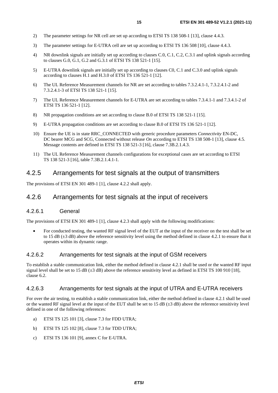- <span id="page-14-0"></span>2) The parameter settings for NR cell are set up according to ETSI TS 138 508-1 [\[13](#page-7-0)], clause 4.4.3.
- 3) The parameter settings for E-UTRA cell are set up according to ETSI TS 136 508 [\[10](#page-7-0)], clause 4.4.3.
- 4) NR downlink signals are initially set up according to clauses C.0, C.1, C.2, C.3.1 and uplink signals according to clauses G.0, G.1, G.2 and G.3.1 of ETSI TS 138 521-1 [\[15\]](#page-7-0).
- 5) E-UTRA downlink signals are initially set up according to clauses C0, C.1 and C.3.0 and uplink signals according to clauses H.1 and H.3.0 of ETSI TS 136 521-1 [\[12](#page-7-0)].
- 6) The UL Reference Measurement channels for NR are set according to tables 7.3.2.4.1-1, 7.3.2.4.1-2 and 7.3.2.4.1-3 of ETSI TS 138 521-1 [\[15\]](#page-7-0).
- 7) The UL Reference Measurement channels for E-UTRA are set according to tables 7.3.4.1-1 and 7.3.4.1-2 of ETSI TS 136 521-1 [[12\]](#page-7-0).
- 8) NR propagation conditions are set according to clause B.0 of ETSI TS 138 521-1 [\[15](#page-7-0)].
- 9) E-UTRA propagation conditions are set according to clause B.0 of ETSI TS 136 521-1 [\[12](#page-7-0)].
- 10) Ensure the UE is in state RRC\_CONNECTED with generic procedure parameters *Connectivity* EN-DC, DC bearer MCG and SCG, Connected without release *On* according to ETSI TS 138 508-1 [[13\]](#page-7-0), clause 4.5. Message contents are defined in ETSI TS 138 521-3 [\[16\]](#page-7-0), clause 7.3B.2.1.4.3.
- 11) The UL Reference Measurement channels configurations for exceptional cases are set according to ETSI TS 138 521-3 [\[16](#page-7-0)], table 7.3B.2.1.4.1-1.

### 4.2.5 Arrangements for test signals at the output of transmitters

The provisions of ETSI EN 301 489-1 [[1](#page-6-0)], clause 4.2.2 shall apply.

### 4.2.6 Arrangements for test signals at the input of receivers

#### 4.2.6.1 General

The provisions of ETSI EN 301 489-1 [[1](#page-6-0)], clause 4.2.3 shall apply with the following modifications:

• For conducted testing, the wanted RF signal level of the EUT at the input of the receiver on the test shall be set to 15 dB  $(\pm 3$  dB) above the reference sensitivity level using the method defined in clause 4.2.1 to ensure that it operates within its dynamic range.

#### 4.2.6.2 Arrangements for test signals at the input of GSM receivers

To establish a stable communication link, either the method defined in clause 4.2.1 shall be used or the wanted RF input signal level shall be set to 15 dB ( $\pm$ 3 dB) above the reference sensitivity level as defined in ETSI TS 100 910 [[18](#page-7-0)]. clause 6.2.

#### 4.2.6.3 Arrangements for test signals at the input of UTRA and E-UTRA receivers

For over the air testing, to establish a stable communication link, either the method defined in clause 4.2.1 shall be used or the wanted RF signal level at the input of the EUT shall be set to 15 dB  $(\pm 3$  dB) above the reference sensitivity level defined in one of the following references:

- a) ETSI TS 125 101 [\[3\]](#page-6-0), clause 7.3 for FDD UTRA;
- b) ETSI TS 125 102 [\[8\]](#page-7-0), clause 7.3 for TDD UTRA;
- c) ETSI TS 136 101 [\[9\]](#page-7-0), annex C for E-UTRA.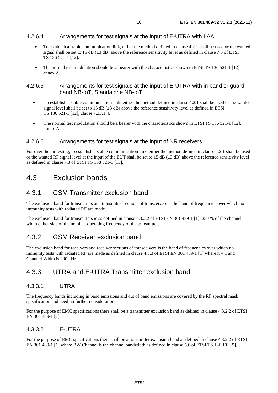#### <span id="page-15-0"></span>4.2.6.4 Arrangements for test signals at the input of E-UTRA with LAA

- To establish a stable communication link, either the method defined in clause 4.2.1 shall be used or the wanted signal shall be set to 15 dB  $(\pm 3$  dB) above the reference sensitivity level as defined in clause 7.3 of ETSI TS 136 521-1 [\[12](#page-7-0)].
- The normal test modulation should be a bearer with the characteristics shown in ETSI TS 136 521-1 [\[12](#page-7-0)], annex A.

#### 4.2.6.5 Arrangements for test signals at the input of E-UTRA with in band or guard band NB-IoT, Standalone NB-IoT

- To establish a stable communication link, either the method defined in clause 4.2.1 shall be used or the wanted signal level shall be set to 15 dB ( $\pm$ 3 dB) above the reference sensitivity level as defined in ETSI TS 136 521-1 [\[12](#page-7-0)], clause 7.3F.1.4.
- The normal test modulation should be a bearer with the characteristics shown in ETSI TS 136 521-1 [\[12](#page-7-0)], annex A.

#### 4.2.6.6 Arrangements for test signals at the input of NR receivers

For over the air testing, to establish a stable communication link, either the method defined in clause 4.2.1 shall be used or the wanted RF signal level at the input of the EUT shall be set to 15 dB  $(\pm 3$  dB) above the reference sensitivity level as defined in clause 7.3 of ETSI TS 138 521-1 [\[15](#page-7-0)].

### 4.3 Exclusion bands

### 4.3.1 GSM Transmitter exclusion band

The exclusion band for transmitters and transmitter sections of transceivers is the band of frequencies over which no immunity tests with radiated RF are made.

The exclusion band for transmitters is as defined in clause 4.3.2.2 of ETSI EN 301 489-1 [\[1](#page-6-0)], 250 % of the channel width either side of the nominal operating frequency of the transmitter.

### 4.3.2 GSM Receiver exclusion band

The exclusion band for receivers and receiver sections of transceivers is the band of frequencies over which no immunity tests with radiated RF are made as defined in clause 4.3.3 of ETSI EN 301 489-1 [\[1](#page-6-0)] where n = 1 and Channel Width is 200 kHz.

### 4.3.3 UTRA and E-UTRA Transmitter exclusion band

#### 4.3.3.1 UTRA

The frequency bands including in band emissions and out of band emissions are covered by the RF spectral mask specification and need no further consideration.

For the purpose of EMC specifications there shall be a transmitter exclusion band as defined in clause 4.3.2.2 of ETSI EN 301 489-1 [\[1](#page-6-0)].

#### 4.3.3.2 E-UTRA

For the purpose of EMC specifications there shall be a transmitter exclusion band as defined in clause 4.3.2.2 of ETSI EN 301 489-1 [\[1](#page-6-0)] where BW Channel is the channel bandwidth as defined in clause 5.6 of ETSI TS 136 101 [[9](#page-7-0)].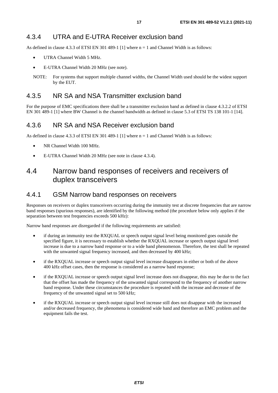<span id="page-16-0"></span>As defined in clause 4.3.3 of ETSI EN 301 489-1 [\[1\]](#page-6-0) where  $n = 1$  and Channel Width is as follows:

- UTRA Channel Width 5 MHz.
- E-UTRA Channel Width 20 MHz (see note).
- NOTE: For systems that support multiple channel widths, the Channel Width used should be the widest support by the EUT.

### 4.3.5 NR SA and NSA Transmitter exclusion band

For the purpose of EMC specifications there shall be a transmitter exclusion band as defined in clause 4.3.2.2 of ETSI EN 301 489-1 [\[1](#page-6-0)] where BW Channel is the channel bandwidth as defined in clause 5.3 of ETSI TS 138 101-1 [[14\]](#page-7-0).

### 4.3.6 NR SA and NSA Receiver exclusion band

As defined in clause 4.3.3 of ETSI EN 301 489-1 [\[1\]](#page-6-0) where  $n = 1$  and Channel Width is as follows:

- NR Channel Width 100 MHz.
- E-UTRA Channel Width 20 MHz (see note in clause 4.3.4).

# 4.4 Narrow band responses of receivers and receivers of duplex transceivers

### 4.4.1 GSM Narrow band responses on receivers

Responses on receivers or duplex transceivers occurring during the immunity test at discrete frequencies that are narrow band responses (spurious responses), are identified by the following method (the procedure below only applies if the separation between test frequencies exceeds 500 kHz):

Narrow band responses are disregarded if the following requirements are satisfied:

- if during an immunity test the RXQUAL or speech output signal level being monitored goes outside the specified figure, it is necessary to establish whether the RXQUAL increase or speech output signal level increase is due to a narrow band response or to a wide band phenomenon. Therefore, the test shall be repeated with the unwanted signal frequency increased, and then decreased by 400 kHz;
- if the RXQUAL increase or speech output signal level increase disappears in either or both of the above 400 kHz offset cases, then the response is considered as a narrow band response;
- if the RXQUAL increase or speech output signal level increase does not disappear, this may be due to the fact that the offset has made the frequency of the unwanted signal correspond to the frequency of another narrow band response. Under these circumstances the procedure is repeated with the increase and decrease of the frequency of the unwanted signal set to 500 kHz;
- if the RXQUAL increase or speech output signal level increase still does not disappear with the increased and/or decreased frequency, the phenomena is considered wide band and therefore an EMC problem and the equipment fails the test.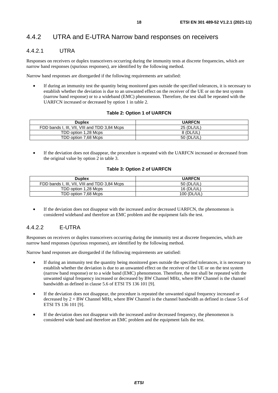### <span id="page-17-0"></span>4.4.2 UTRA and E-UTRA Narrow band responses on receivers

### 4.4.2.1 UTRA

Responses on receivers or duplex transceivers occurring during the immunity tests at discrete frequencies, which are narrow band responses (spurious responses), are identified by the following method.

Narrow band responses are disregarded if the following requirements are satisfied:

• If during an immunity test the quantity being monitored goes outside the specified tolerances, it is necessary to establish whether the deviation is due to an unwanted effect on the receiver of the UE or on the test system (narrow band response) or to a wideband (EMC) phenomenon. Therefore, the test shall be repeated with the UARFCN increased or decreased by option 1 in table 2.

#### **Table 2: Option 1 of UARFCN**

| <b>Duplex</b>                                 | <b>UARFCN</b> |
|-----------------------------------------------|---------------|
| FDD bands I, III, VII, VIII and TDD 3.84 Mcps | 25 (DL/UL)    |
| TDD option 1.28 Mcps                          | 8 (DL/UL)     |
| TDD option 7.68 Mcps                          | 50 (DL/UL)    |

If the deviation does not disappear, the procedure is repeated with the UARFCN increased or decreased from the original value by option 2 in table 3.

#### **Table 3: Option 2 of UARFCN**

| <b>Duplex</b>                                 | <b>UARFCN</b> |
|-----------------------------------------------|---------------|
| FDD bands I, III, VII, VIII and TDD 3.84 Mcps | 50 (DL/UL)    |
| TDD option 1,28 Mcps                          | 16 (DL/UL)    |
| TDD option 7,68 Mcps                          | 100 (DL/UL)   |

If the deviation does not disappear with the increased and/or decreased UARFCN, the phenomenon is considered wideband and therefore an EMC problem and the equipment fails the test.

#### 4.4.2.2 E-UTRA

Responses on receivers or duplex transceivers occurring during the immunity test at discrete frequencies, which are narrow band responses (spurious responses), are identified by the following method.

Narrow band responses are disregarded if the following requirements are satisfied:

- If during an immunity test the quantity being monitored goes outside the specified tolerances, it is necessary to establish whether the deviation is due to an unwanted effect on the receiver of the UE or on the test system (narrow band response) or to a wide band (EMC) phenomenon. Therefore, the test shall be repeated with the unwanted signal frequency increased or decreased by BW Channel MHz, where BW Channel is the channel bandwidth as defined in clause 5.6 of ETSI TS 136 101 [\[9](#page-7-0)].
- If the deviation does not disappear, the procedure is repeated the unwanted signal frequency increased or decreased by  $2 \times BW$  Channel MHz, where BW Channel is the channel bandwidth as defined in clause 5.6 of ETSI TS 136 101 [\[9\]](#page-7-0).
- If the deviation does not disappear with the increased and/or decreased frequency, the phenomenon is considered wide band and therefore an EMC problem and the equipment fails the test.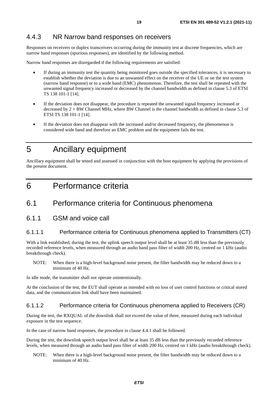### <span id="page-18-0"></span>4.4.3 NR Narrow band responses on receivers

Responses on receivers or duplex transceivers occurring during the immunity test at discrete frequencies, which are narrow band responses (spurious responses), are identified by the following method.

Narrow band responses are disregarded if the following requirements are satisfied:

- If during an immunity test the quantity being monitored goes outside the specified tolerances, it is necessary to establish whether the deviation is due to an unwanted effect on the receiver of the UE or on the test system (narrow band response) or to a wide band (EMC) phenomenon. Therefore, the test shall be repeated with the unwanted signal frequency increased or decreased by the channel bandwidth as defined in clause 5.3 of ETSI TS 138 101-1 [\[14](#page-7-0)].
- If the deviation does not disappear, the procedure is repeated the unwanted signal frequency increased or decreased by  $2 \times BW$  Channel MHz, where BW Channel is the channel bandwidth as defined in clause 5.3 of ETSI TS 138 101-1 [[14\]](#page-7-0).
- If the deviation does not disappear with the increased and/or decreased frequency, the phenomenon is considered wide band and therefore an EMC problem and the equipment fails the test.

# 5 Ancillary equipment

Ancillary equipment shall be tested and assessed in conjunction with the host equipment by applying the provisions of the present document.

# 6 Performance criteria

# 6.1 Performance criteria for Continuous phenomena

6.1.1 GSM and voice call

#### 6.1.1.1 Performance criteria for Continuous phenomena applied to Transmitters (CT)

With a link established, during the test, the uplink speech output level shall be at least 35 dB less than the previously recorded reference levels, when measured through an audio band pass filter of width 200 Hz, centred on 1 kHz (audio breakthrough check).

NOTE: When there is a high-level background noise present, the filter bandwidth may be reduced down to a minimum of 40 Hz.

In idle mode, the transmitter shall not operate unintentionally.

At the conclusion of the test, the EUT shall operate as intended with no loss of user control functions or critical stored data, and the communication link shall have been maintained.

#### 6.1.1.2 Performance criteria for Continuous phenomena applied to Receivers (CR)

During the test, the RXQUAL of the downlink shall not exceed the value of three, measured during each individual exposure in the test sequence.

In the case of narrow band responses, the procedure in clause 4.4.1 shall be followed.

During the test, the downlink speech output level shall be at least 35 dB less than the previously recorded reference levels, when measured through an audio band pass filter of width 200 Hz, centred on 1 kHz (audio breakthrough check).

NOTE: When there is a high-level background noise present, the filter bandwidth may be reduced down to a minimum of 40 Hz.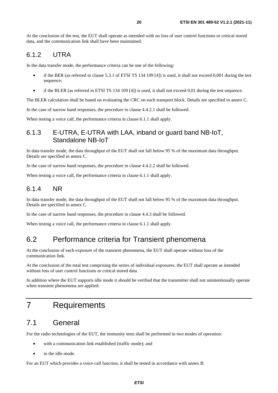<span id="page-19-0"></span>At the conclusion of the test, the EUT shall operate as intended with no loss of user control functions or critical stored data, and the communication link shall have been maintained.

### 6.1.2 UTRA

In the data transfer mode, the performance criteria can be one of the following:

- if the BER (as referred in clause 5.3.1 of ETSI TS 134 109 [\[4](#page-7-0)]) is used, it shall not exceed 0,001 during the test sequence;
- if the BLER (as referred in ETSI TS 134 109 [\[4](#page-7-0)]) is used, it shall not exceed 0,01 during the test sequence.

The BLER calculation shall be based on evaluating the CRC on each transport block. Details are specified in annex C.

In the case of narrow band responses, the procedure in clause 4.4.2.1 shall be followed.

When testing a voice call, the performance criteria in clause 6.1.1 shall apply.

### 6.1.3 E-UTRA, E-UTRA with LAA, inband or guard band NB-IoT, Standalone NB-IoT

In data transfer mode, the data throughput of the EUT shall not fall below 95 % of the maximum data throughput. Details are specified in annex C.

In the case of narrow band responses, the procedure in clause 4.4.2.2 shall be followed.

When testing a voice call, the performance criteria in clause 6.1.1 shall apply.

### 6.1.4 NR

In data transfer mode, the data throughput of the EUT shall not fall below 95 % of the maximum data throughput. Details are specified in annex C.

In the case of narrow band responses, the procedure in clause 4.4.3 shall be followed.

When testing a voice call, the performance criteria in clause 6.1.1 shall apply.

# 6.2 Performance criteria for Transient phenomena

At the conclusion of each exposure of the transient phenomena, the EUT shall operate without loss of the communication link.

At the conclusion of the total test comprising the series of individual exposures, the EUT shall operate as intended without loss of user control functions or critical stored data.

In addition where the EUT supports idle mode it should be verified that the transmitter shall not unintentionally operate when transient phenomena are applied.

# 7 Requirements

### 7.1 General

For the radio technologies of the EUT, the immunity tests shall be performed in two modes of operation:

- with a communication link established (traffic mode); and
- in the idle mode.

For an EUT which provides a voice call function, it shall be tested in accordance with annex B.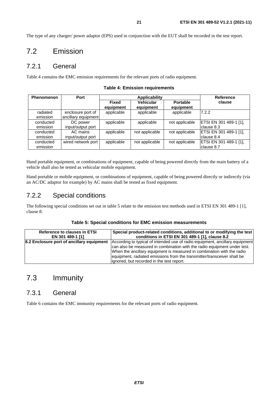<span id="page-20-0"></span>The type of any charger/ power adaptor (EPS) used in conjunction with the EUT shall be recorded in the test report.

### 7.2 Emission

### 7.2.1 General

Table 4 contains the EMC emission requirements for the relevant ports of radio equipment.

| <b>Phenomenon</b>     | Port                                     | Applicability             |                               |                              | <b>Reference</b>                      |
|-----------------------|------------------------------------------|---------------------------|-------------------------------|------------------------------|---------------------------------------|
|                       |                                          | <b>Fixed</b><br>equipment | <b>Vehicular</b><br>equipment | <b>Portable</b><br>equipment | clause                                |
| radiated<br>emission  | enclosure port of<br>ancillary equipment | applicable                | applicable                    | applicable                   | 7.2.2                                 |
| conducted<br>emission | DC power<br>input/output port            | applicable                | applicable                    | not applicable               | ETSI EN 301 489-1 [1],<br>Iclause 8.3 |
| conducted<br>emission | AC mains<br>input/output port            | applicable                | not applicable                | not applicable               | ETSI EN 301 489-1 [1],<br>clause 8.4  |
| conducted<br>emission | wired network port                       | applicable                | not applicable                | not applicable               | ETSI EN 301 489-1 [1],<br>Iclause 8.7 |

**Table 4: Emission requirements** 

Hand portable equipment, or combinations of equipment, capable of being powered directly from the main battery of a vehicle shall also be tested as vehicular mobile equipment.

Hand portable or mobile equipment, or combinations of equipment, capable of being powered directly or indirectly (via an AC/DC adaptor for example) by AC mains shall be tested as fixed equipment.

### 7.2.2 Special conditions

The following special conditions set out in table 5 relate to the emission test methods used in ETSI EN 301 489-1 [\[1](#page-6-0)], clause 8.

#### **Table 5: Special conditions for EMC emission measurements**

| <b>Reference to clauses in ETSI</b>       | Special product-related conditions, additional to or modifying the test      |
|-------------------------------------------|------------------------------------------------------------------------------|
| EN 301 489-1 [1]                          | conditions in ETSI EN 301 489-1 [1], clause 8.2                              |
| 8.2 Enclosure port of ancillary equipment | According to typical of intended use of radio equipment, ancillary equipment |
|                                           | can also be measured in combination with the radio equipment under test.     |
|                                           | When the ancillary equipment is measured in combination with the radio       |
|                                           | equipment, radiated emissions from the transmitter/transceiver shall be      |
|                                           | lignored, but recorded in the test report.                                   |

# 7.3 Immunity

### 7.3.1 General

Table 6 contains the EMC immunity requirements for the relevant ports of radio equipment.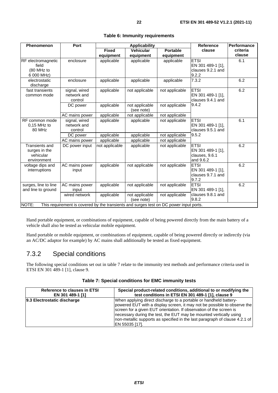<span id="page-21-0"></span>

| <b>Phenomenon</b>                                                                               | Port                                    |                | <b>Applicability</b>         |                 | Reference                                                       | Performance |
|-------------------------------------------------------------------------------------------------|-----------------------------------------|----------------|------------------------------|-----------------|-----------------------------------------------------------------|-------------|
|                                                                                                 |                                         | <b>Fixed</b>   | <b>Vehicular</b>             | <b>Portable</b> | clause                                                          | criteria    |
|                                                                                                 |                                         | equipment      | equipment                    | equipment       |                                                                 | clause      |
| <b>RF</b> electromagnetic<br>field                                                              | enclosure                               | applicable     | applicable                   | applicable      | <b>ETSI</b><br>EN 301 489-1 [1],                                | 6.1         |
| (80 MHz to<br>6 000 MHz)                                                                        |                                         |                |                              |                 | clauses 9.2.1 and<br>9.2.2                                      |             |
| electrostatic<br>discharge                                                                      | enclosure                               | applicable     | applicable                   | applicable      | 7.3.2                                                           | 6.2         |
| fast transients<br>common mode                                                                  | signal, wired<br>network and<br>control | applicable     | not applicable               | not applicable  | <b>ETSI</b><br>EN 301 489-1 [1],<br>clauses 9.4.1 and           | 6.2         |
|                                                                                                 | DC power                                | applicable     | not applicable<br>(see note) | not applicable  | 9.4.2                                                           |             |
|                                                                                                 | AC mains power                          | applicable     | not applicable               | not applicable  |                                                                 |             |
| RF common mode<br>$0,15$ MHz to<br>80 MHz                                                       | signal, wired<br>network and<br>control | applicable     | applicable                   | not applicable  | <b>ETSI</b><br>EN 301 489-1 [1],<br>clauses 9.5.1 and           | 6.1         |
|                                                                                                 | DC power                                | applicable     | applicable                   | not applicable  | 9.5.2                                                           |             |
|                                                                                                 | AC mains power                          | applicable     | applicable                   | not applicable  |                                                                 |             |
| Transients and<br>surges in the<br>vehicular<br>environment                                     | DC power input                          | not applicable | applicable                   | not applicable  | <b>ETSI</b><br>EN 301 489-1 [1],<br>clauses, 9.6.1<br>and 9.6.2 | 6.2         |
| voltage dips and<br>interruptions                                                               | AC mains power<br>input                 | applicable     | not applicable               | not applicable  | <b>ETSI</b><br>EN 301 489-1 [1],<br>clauses 9.7.1 and<br>9.7.2  | 6.2         |
| surges, line to line<br>and line to ground                                                      | AC mains power<br>input                 | applicable     | not applicable               | not applicable  | <b>ETSI</b><br>EN 301 489-1 [1],                                | 6.2         |
|                                                                                                 | wired network                           | applicable     | not applicable<br>(see note) | not applicable  | clauses 9.8.1 and<br>9.8.2                                      |             |
| NOTE:<br>This requirement is covered by the transients and surges test on DC power input ports. |                                         |                |                              |                 |                                                                 |             |

#### **Table 6: Immunity requirements**

Hand portable equipment, or combinations of equipment, capable of being powered directly from the main battery of a

Hand portable or mobile equipment, or combinations of equipment, capable of being powered directly or indirectly (via an AC/DC adaptor for example) by AC mains shall additionally be tested as fixed equipment.

### 7.3.2 Special conditions

vehicle shall also be tested as vehicular mobile equipment.

The following special conditions set out in table 7 relate to the immunity test methods and performance criteria used in ETSI EN 301 489-1 [\[1\]](#page-6-0), clause 9.

|  |  | Table 7: Special conditions for EMC immunity tests |  |
|--|--|----------------------------------------------------|--|
|--|--|----------------------------------------------------|--|

| <b>Reference to clauses in ETSI</b> | Special product-related conditions, additional to or modifying the                                                                                                                                                                                                                                                                                                                          |
|-------------------------------------|---------------------------------------------------------------------------------------------------------------------------------------------------------------------------------------------------------------------------------------------------------------------------------------------------------------------------------------------------------------------------------------------|
| EN 301 489-1 [1]                    | test conditions in ETSI EN 301 489-1 [1], clause 9                                                                                                                                                                                                                                                                                                                                          |
| 9.3 Electrostatic discharge         | When applying direct discharge to a portable or handheld battery-<br>powered EUT with a display screen, it may not be possible to observe the<br>screen for a given EUT orientation. If observation of the screen is<br>necessary during the test, the EUT may be mounted vertically using<br>non-metallic supports as specified in the last paragraph of clause 4.2.1 of<br>EN 55035 [17]. |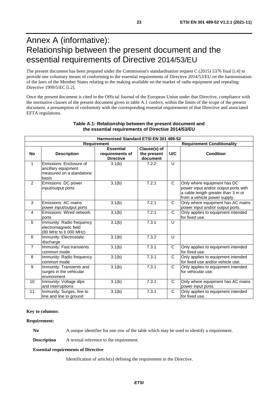# <span id="page-22-0"></span>Annex A (informative): Relationship between the present document and the essential requirements of Directive 2014/53/EU

The present document has been prepared under the Commission's standardisation request C (2015) 5376 final [[i.4](#page-8-0)] to provide one voluntary means of conforming to the essential requirements of Directive 2014/53/EU on the harmonisation of the laws of the Member States relating to the making available on the market of radio equipment and repealing Directive 1999/5/EC [\[i.2\]](#page-8-0).

Once the present document is cited in the Official Journal of the European Union under that Directive, compliance with the normative clauses of the present document given in table A.1 confers, within the limits of the scope of the present document, a presumption of conformity with the corresponding essential requirements of that Directive and associated EFTA regulations.

| Harmonised Standard ETSI EN 301 489-52 |                                                                                     |                                                         |                                         |              |                                                                                                                                           |  |  |  |  |  |
|----------------------------------------|-------------------------------------------------------------------------------------|---------------------------------------------------------|-----------------------------------------|--------------|-------------------------------------------------------------------------------------------------------------------------------------------|--|--|--|--|--|
| <b>Requirement</b>                     |                                                                                     |                                                         |                                         |              | <b>Requirement Conditionality</b>                                                                                                         |  |  |  |  |  |
| <b>No</b>                              | <b>Description</b>                                                                  | <b>Essential</b><br>requirements of<br><b>Directive</b> | Clause(s) of<br>the present<br>document | U/C          | <b>Condition</b>                                                                                                                          |  |  |  |  |  |
| 1                                      | Emissions: Enclosure of<br>ancillary equipment<br>measured on a standalone<br>basis | 3.1(b)                                                  | 7.2.2                                   | U            |                                                                                                                                           |  |  |  |  |  |
| 2                                      | Emissions: DC power<br>input/output ports                                           | 3.1(b)                                                  | 7.2.1                                   | $\mathsf{C}$ | Only where equipment has DC<br>power input and/or output ports with<br>a cable length greater than 3 m or<br>from a vehicle power supply. |  |  |  |  |  |
| 3                                      | Emissions: AC mains<br>power input/output ports                                     | 3.1(b)                                                  | 7.2.1                                   | C            | Only where equipment has AC mains<br>power input and/or output ports.                                                                     |  |  |  |  |  |
| 4                                      | Emissions: Wired network<br>ports                                                   | 3.1(b)                                                  | 7.2.1                                   | $\mathsf{C}$ | Only applies to equipment intended<br>for fixed use.                                                                                      |  |  |  |  |  |
| 5                                      | Immunity: Radio frequency<br>electromagnetic field<br>(80 MHz to 6 000 MHz)         | 3.1(b)                                                  | 7.3.1                                   | U            |                                                                                                                                           |  |  |  |  |  |
| 6                                      | Immunity: Electrostatic<br>discharge                                                | 3.1(b)                                                  | 7.3.2                                   | U            |                                                                                                                                           |  |  |  |  |  |
| $\overline{7}$                         | Immunity: Fast transients<br>common mode                                            | 3.1(b)                                                  | 7.3.1                                   | C            | Only applies to equipment intended<br>for fixed use.                                                                                      |  |  |  |  |  |
| 8                                      | Immunity: Radio frequency<br>common mode                                            | 3.1(b)                                                  | 7.3.1                                   | C            | Only applies to equipment intended<br>for fixed use and/or vehicle use.                                                                   |  |  |  |  |  |
| 9                                      | Immunity: Transients and<br>surges in the vehicular<br>environment                  | 3.1(b)                                                  | 7.3.1                                   | $\mathsf{C}$ | Only applies to equipment intended<br>for vehicular use.                                                                                  |  |  |  |  |  |
| 10                                     | Immunity: Voltage dips<br>and interruptions                                         | 3.1(b)                                                  | 7.3.1                                   | C            | Only where equipment has AC mains<br>power input ports.                                                                                   |  |  |  |  |  |
| 11                                     | Immunity: Surges, line to<br>line and line to ground                                | 3.1(b)                                                  | 7.3.1                                   | C            | Only applies to equipment intended<br>for fixed use.                                                                                      |  |  |  |  |  |

#### **Table A.1: Relationship between the present document and the essential requirements of Directive 2014/53/EU**

#### **Key to columns:**

#### **Requirement:**

No A unique identifier for one row of the table which may be used to identify a requirement.

**Description** A textual reference to the requirement.

#### **Essential requirements of Directive**

Identification of article(s) defining the requirement in the Directive.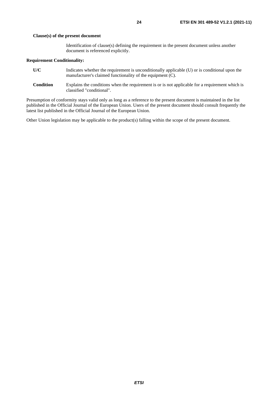Identification of clause(s) defining the requirement in the present document unless another document is referenced explicitly.

#### **Requirement Conditionality:**

- **U/C** Indicates whether the requirement is unconditionally applicable (U) or is conditional upon the manufacturer's claimed functionality of the equipment (C).
- **Condition** Explains the conditions when the requirement is or is not applicable for a requirement which is classified "conditional".

Presumption of conformity stays valid only as long as a reference to the present document is maintained in the list published in the Official Journal of the European Union. Users of the present document should consult frequently the latest list published in the Official Journal of the European Union.

Other Union legislation may be applicable to the product(s) falling within the scope of the present document.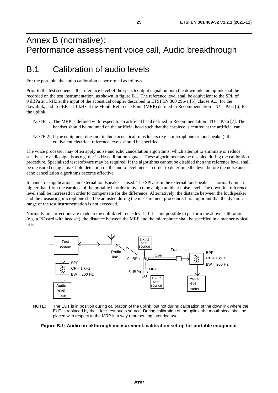# <span id="page-24-0"></span>Annex B (normative): Performance assessment voice call, Audio breakthrough

# B.1 Calibration of audio levels

For the portable, the audio calibration is performed as follows.

Prior to the test sequence, the reference level of the speech output signal on both the downlink and uplink shall be recorded on the test instrumentation, as shown in figure B.1. The reference level shall be equivalent to the SPL of 0 dBPa at 1 kHz at the input of the acoustical coupler described in ETSI EN 300 296-1 [\[5\]](#page-7-0), clause A.3, for the downlink, and -5 dBPa at 1 kHz at the Mouth Reference Point (MRP) defined in Recommendation ITU-T P.64 [\[6\]](#page-7-0) for the uplink.

- NOTE 1: The MRP is defined with respect to an artificial head defined in Recommendation ITU-T P.76 [\[7](#page-7-0)]. The handset should be mounted on the artificial head such that the earpiece is centred at the artificial ear.
- NOTE 2: If the equipment does not include acoustical transducers (e.g. a microphone or loudspeaker), the equivalent electrical reference levels should be specified.

The voice processor may often apply noise and echo cancellation algorithms, which attempt to eliminate or reduce steady state audio signals as e.g. the 1 kHz calibration signals. These algorithms may be disabled during the calibration procedure. Specialized test software may be required. If the algorithms cannot be disabled then the reference level shall be measured using a max-hold detection on the audio level meter in order to determine the level before the noise and echo cancellation algorithms become effective.

In handsfree applications, an external loudspeaker is used. The SPL from the external loudspeaker is normally much higher than from the earpiece of the portable in order to overcome a high ambient noise level. The downlink reference level shall be increased in order to compensate for the difference. Alternatively, the distance between the loudspeaker and the measuring microphone shall be adjusted during the measurement procedure. It is important that the dynamic range of the test instrumentation is not exceeded.

Normally no corrections are made to the uplink reference level. If it is not possible to perform the above calibration (e.g. a PC card with headset), the distance between the MRP and the microphone shall be specified in a manner typical use.



NOTE: The EUT is in position during calibration of the uplink, but not during calibration of the downlink where the EUT is replaced by the 1 kHz test audio source. During calibration of the uplink, the mouthpiece shall be placed with respect to the MRP in a way representing intended use.

#### **Figure B.1: Audio breakthrough measurement, calibration set-up for portable equipment**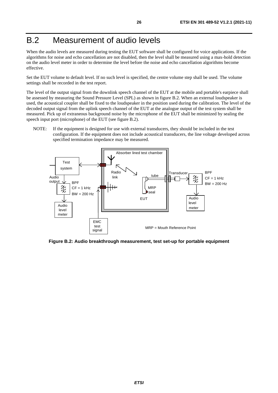# <span id="page-25-0"></span>B.2 Measurement of audio levels

When the audio levels are measured during testing the EUT software shall be configured for voice applications. If the algorithms for noise and echo cancellation are not disabled, then the level shall be measured using a max-hold detection on the audio level meter in order to determine the level before the noise and echo cancellation algorithms become effective.

Set the EUT volume to default level. If no such level is specified, the centre volume step shall be used. The volume settings shall be recorded in the test report.

The level of the output signal from the downlink speech channel of the EUT at the mobile and portable's earpiece shall be assessed by measuring the Sound Pressure Level (SPL) as shown in figure B.2. When an external loudspeaker is used, the acoustical coupler shall be fixed to the loudspeaker in the position used during the calibration. The level of the decoded output signal from the uplink speech channel of the EUT at the analogue output of the test system shall be measured. Pick up of extraneous background noise by the microphone of the EUT shall be minimized by sealing the speech input port (microphone) of the EUT (see figure B.2).

NOTE: If the equipment is designed for use with external transducers, they should be included in the test configuration. If the equipment does not include acoustical transducers, the line voltage developed across specified termination impedance may be measured.



**Figure B.2: Audio breakthrough measurement, test set-up for portable equipment**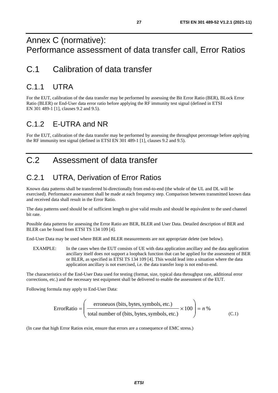# <span id="page-26-0"></span>Annex C (normative): Performance assessment of data transfer call, Error Ratios

# C.1 Calibration of data transfer

# C.11 UTRA

For the EUT, calibration of the data transfer may be performed by assessing the Bit Error Ratio (BER), BLock Error Ratio (BLER) or End-User data error ratio before applying the RF immunity test signal (defined in ETSI EN 301 489-1 [\[1](#page-6-0)], clauses 9.2 and 9.5).

# C.1.2 E-UTRA and NR

For the EUT, calibration of the data transfer may be performed by assessing the throughput percentage before applying the RF immunity test signal (defined in ETSI EN 301 489-1 [\[1](#page-6-0)], clauses 9.2 and 9.5).

# C.2 Assessment of data transfer

# C.2.1 UTRA, Derivation of Error Ratios

Known data patterns shall be transferred bi-directionally from end-to-end (the whole of the UL and DL will be exercised). Performance assessment shall be made at each frequency step. Comparison between transmitted known data and received data shall result in the Error Ratio.

The data patterns used should be of sufficient length to give valid results and should be equivalent to the used channel bit rate.

Possible data patterns for assessing the Error Ratio are BER, BLER and User Data. Detailed description of BER and BLER can be found from ETSI TS 134 109 [\[4\]](#page-7-0).

End-User Data may be used where BER and BLER measurements are not appropriate delete (see below).

EXAMPLE: In the cases when the EUT consists of UE with data application ancillary and the data application ancillary itself does not support a loopback function that can be applied for the assessment of BER or BLER, as specified in ETSI TS 134 109 [[4\]](#page-7-0). This would lead into a situation where the data application ancillary is not exercised, i.e. the data transfer loop is not end-to-end.

The characteristics of the End-User Data used for testing (format, size, typical data throughput rate, additional error corrections, etc.) and the necessary test equipment shall be delivered to enable the assessment of the EUT.

Following formula may apply to End-User Data:

$$
ErrorRatio = \left(\frac{eroneuos (bits, bytes, symbols, etc.)}{total number of (bits, bytes, symbols, etc.)} \times 100\right) = n\%
$$
 (C.1)

(In case that high Error Ratios exist, ensure that errors are a consequence of EMC stress.)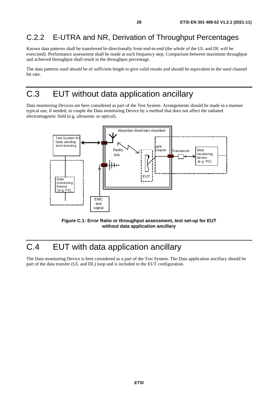# <span id="page-27-0"></span>C.2.2 E-UTRA and NR, Derivation of Throughput Percentages

Known data patterns shall be transferred bi-directionally from end-to-end (the whole of the UL and DL will be exercised). Performance assessment shall be made at each frequency step. Comparison between maximum throughput and achieved throughput shall result in the throughput percentage.

The data patterns used should be of sufficient length to give valid results and should be equivalent to the used channel bit rate.

# C.3 EUT without data application ancillary

Data monitoring Devices are here considered as part of the Test System. Arrangements should be made in a manner typical use, if needed, to couple the Data monitoring Device by a method that does not affect the radiated electromagnetic field (e.g. ultrasonic or optical).



**Figure C.1: Error Ratio or throughput assessment, test set-up for EUT without data application ancillary** 

# C.4 EUT with data application ancillary

The Data monitoring Device is here considered as a part of the Test System. The Data application ancillary should be part of the data transfer (UL and DL) loop and is included in the EUT configuration.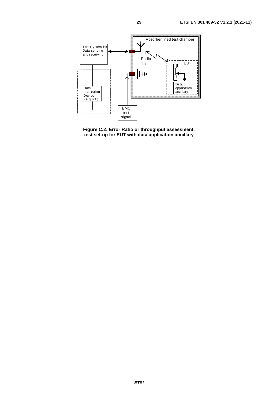

**Figure C.2: Error Ratio or throughput assessment, test set-up for EUT with data application ancillary**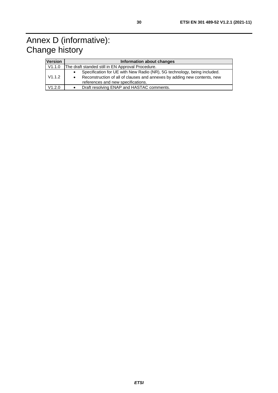# <span id="page-29-0"></span>Annex D (informative): Change history

| <b>Version</b> | Information about changes                                                                                                                                                                  |  |  |  |  |
|----------------|--------------------------------------------------------------------------------------------------------------------------------------------------------------------------------------------|--|--|--|--|
| V1.1.0         | The draft standed still in EN Approval Procedure.                                                                                                                                          |  |  |  |  |
| V1.1.2         | Specification for UE with New Radio (NR), 5G technology, being included.<br>Reconstruction of all of clauses and annexes by adding new contents, new<br>references and new specifications. |  |  |  |  |
| V1.2.0         | Draft resolving ENAP and HASTAC comments.                                                                                                                                                  |  |  |  |  |